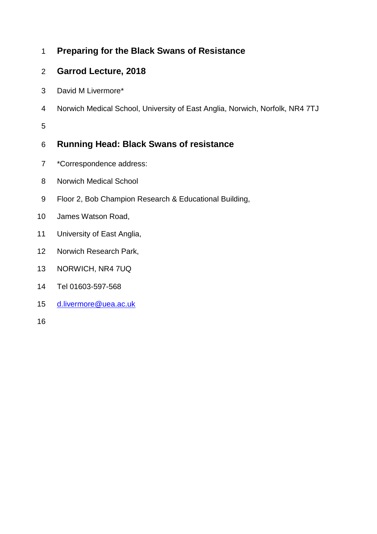# **Preparing for the Black Swans of Resistance**

# **Garrod Lecture, 2018**

- David M Livermore\*
- Norwich Medical School, University of East Anglia, Norwich, Norfolk, NR4 7TJ

# **Running Head: Black Swans of resistance**

- \*Correspondence address:
- Norwich Medical School
- Floor 2, Bob Champion Research & Educational Building,
- James Watson Road,
- University of East Anglia,
- Norwich Research Park,
- NORWICH, NR4 7UQ
- Tel 01603-597-568
- [d.livermore@uea.ac.uk](mailto:d.livermore@uea.ac.uk)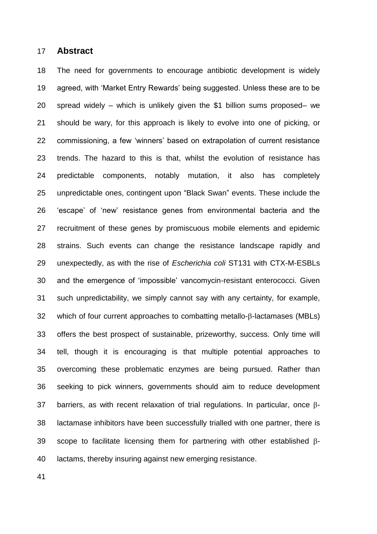#### **Abstract**

 The need for governments to encourage antibiotic development is widely agreed, with 'Market Entry Rewards' being suggested. Unless these are to be spread widely – which is unlikely given the \$1 billion sums proposed– we should be wary, for this approach is likely to evolve into one of picking, or commissioning, a few 'winners' based on extrapolation of current resistance trends. The hazard to this is that, whilst the evolution of resistance has predictable components, notably mutation, it also has completely unpredictable ones, contingent upon "Black Swan" events. These include the 'escape' of 'new' resistance genes from environmental bacteria and the recruitment of these genes by promiscuous mobile elements and epidemic strains. Such events can change the resistance landscape rapidly and unexpectedly, as with the rise of *Escherichia coli* ST131 with CTX-M-ESBLs and the emergence of 'impossible' vancomycin-resistant enterococci. Given such unpredictability, we simply cannot say with any certainty, for example, which of four current approaches to combatting metallo- $\beta$ -lactamases (MBLs) offers the best prospect of sustainable, prizeworthy, success. Only time will tell, though it is encouraging is that multiple potential approaches to overcoming these problematic enzymes are being pursued. Rather than seeking to pick winners, governments should aim to reduce development 37 barriers, as with recent relaxation of trial regulations. In particular, once  $\beta$ - lactamase inhibitors have been successfully trialled with one partner, there is 39 scope to facilitate licensing them for partnering with other established  $\beta$ -lactams, thereby insuring against new emerging resistance.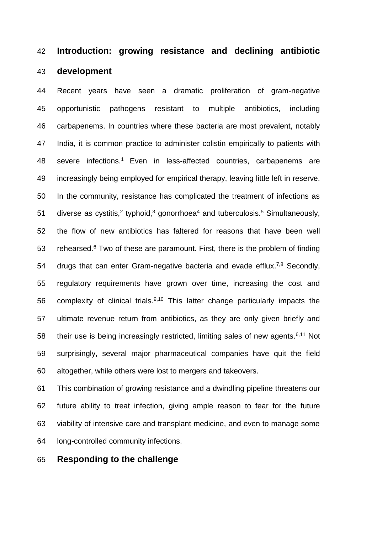## **Introduction: growing resistance and declining antibiotic**

## **development**

 Recent years have seen a dramatic proliferation of gram-negative opportunistic pathogens resistant to multiple antibiotics, including carbapenems. In countries where these bacteria are most prevalent, notably India, it is common practice to administer colistin empirically to patients with 48 severe infections.<sup>1</sup> Even in less-affected countries, carbapenems are increasingly being employed for empirical therapy, leaving little left in reserve. In the community, resistance has complicated the treatment of infections as 51 diverse as cystitis,<sup>2</sup> typhoid,<sup>3</sup> gonorrhoea<sup>4</sup> and tuberculosis.<sup>5</sup> Simultaneously, the flow of new antibiotics has faltered for reasons that have been well 53 rehearsed. Two of these are paramount. First, there is the problem of finding 54 drugs that can enter Gram-negative bacteria and evade efflux.<sup>7,8</sup> Secondly, regulatory requirements have grown over time, increasing the cost and 56 complexity of clinical trials. $9,10$  This latter change particularly impacts the ultimate revenue return from antibiotics, as they are only given briefly and 58 their use is being increasingly restricted, limiting sales of new agents. $6,11$  Not surprisingly, several major pharmaceutical companies have quit the field altogether, while others were lost to mergers and takeovers.

 This combination of growing resistance and a dwindling pipeline threatens our future ability to treat infection, giving ample reason to fear for the future viability of intensive care and transplant medicine, and even to manage some long-controlled community infections.

### **Responding to the challenge**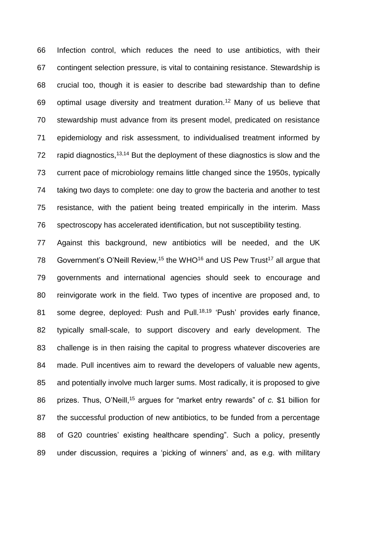Infection control, which reduces the need to use antibiotics, with their contingent selection pressure, is vital to containing resistance. Stewardship is crucial too, though it is easier to describe bad stewardship than to define 69 optimal usage diversity and treatment duration.<sup>12</sup> Many of us believe that stewardship must advance from its present model, predicated on resistance epidemiology and risk assessment, to individualised treatment informed by 72 rapid diagnostics,  $13,14$  But the deployment of these diagnostics is slow and the current pace of microbiology remains little changed since the 1950s, typically taking two days to complete: one day to grow the bacteria and another to test resistance, with the patient being treated empirically in the interim. Mass spectroscopy has accelerated identification, but not susceptibility testing.

 Against this background, new antibiotics will be needed, and the UK 78 Government's O'Neill Review,<sup>15</sup> the WHO<sup>16</sup> and US Pew Trust<sup>17</sup> all argue that governments and international agencies should seek to encourage and reinvigorate work in the field. Two types of incentive are proposed and, to 81 some degree, deployed: Push and Pull.<sup>18,19</sup> 'Push' provides early finance, typically small-scale, to support discovery and early development. The challenge is in then raising the capital to progress whatever discoveries are made. Pull incentives aim to reward the developers of valuable new agents, and potentially involve much larger sums. Most radically, it is proposed to give 86 prizes. Thus, O'Neill,<sup>15</sup> argues for "market entry rewards" of *c.* \$1 billion for the successful production of new antibiotics, to be funded from a percentage of G20 countries' existing healthcare spending". Such a policy, presently under discussion, requires a 'picking of winners' and, as e.g. with military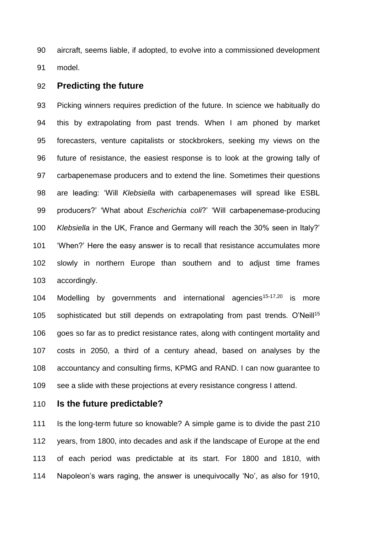aircraft, seems liable, if adopted, to evolve into a commissioned development model.

#### **Predicting the future**

 Picking winners requires prediction of the future. In science we habitually do this by extrapolating from past trends. When I am phoned by market forecasters, venture capitalists or stockbrokers, seeking my views on the future of resistance, the easiest response is to look at the growing tally of carbapenemase producers and to extend the line. Sometimes their questions are leading: 'Will *Klebsiella* with carbapenemases will spread like ESBL producers?' 'What about *Escherichia coli*?' 'Will carbapenemase-producing *Klebsiella* in the UK, France and Germany will reach the 30% seen in Italy?' 'When?' Here the easy answer is to recall that resistance accumulates more slowly in northern Europe than southern and to adjust time frames accordingly.

104 Modelling by governments and international agencies<sup>15-17,20</sup> is more 105 sophisticated but still depends on extrapolating from past trends. O'Neill<sup>15</sup> goes so far as to predict resistance rates, along with contingent mortality and costs in 2050, a third of a century ahead, based on analyses by the accountancy and consulting firms, KPMG and RAND. I can now guarantee to see a slide with these projections at every resistance congress I attend.

## **Is the future predictable?**

 Is the long-term future so knowable? A simple game is to divide the past 210 years, from 1800, into decades and ask if the landscape of Europe at the end of each period was predictable at its start. For 1800 and 1810, with Napoleon's wars raging, the answer is unequivocally 'No', as also for 1910,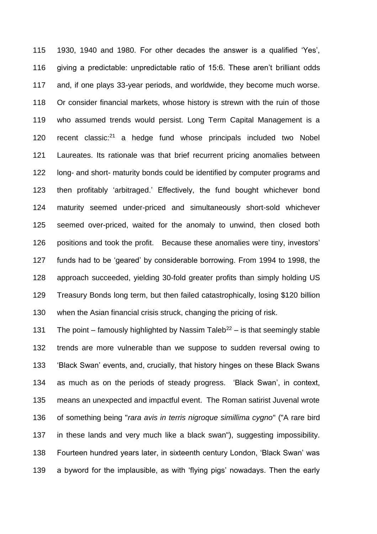1930, 1940 and 1980. For other decades the answer is a qualified 'Yes', giving a predictable: unpredictable ratio of 15:6. These aren't brilliant odds and, if one plays 33-year periods, and worldwide, they become much worse. Or consider financial markets, whose history is strewn with the ruin of those who assumed trends would persist. Long Term Capital Management is a 120 recent classic: a hedge fund whose principals included two Nobel Laureates. Its rationale was that brief recurrent pricing anomalies between long- and short- maturity bonds could be identified by computer programs and then profitably 'arbitraged.' Effectively, the fund bought whichever bond maturity seemed under-priced and simultaneously short-sold whichever seemed over-priced, waited for the anomaly to unwind, then closed both positions and took the profit. Because these anomalies were tiny, investors' funds had to be 'geared' by considerable borrowing. From 1994 to 1998, the approach succeeded, yielding 30-fold greater profits than simply holding US Treasury Bonds long term, but then failed catastrophically, losing \$120 billion when the Asian financial crisis struck, changing the pricing of risk.

131 The point – famously highlighted by Nassim Taleb<sup>22</sup> – is that seemingly stable trends are more vulnerable than we suppose to sudden reversal owing to 'Black Swan' events, and, crucially, that history hinges on these Black Swans as much as on the periods of steady progress. 'Black Swan', in context, means an unexpected and impactful event. The Roman satirist Juvenal wrote of something being "*rara avis in terris nigroque simillima cygno*" ("A rare bird in these lands and very much like a black swan"), suggesting impossibility. Fourteen hundred years later, in sixteenth century London, 'Black Swan' was a byword for the implausible, as with 'flying pigs' nowadays. Then the early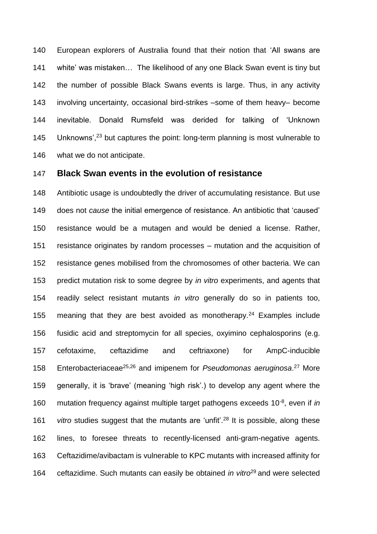European explorers of Australia found that their notion that 'All swans are white' was mistaken… The likelihood of any one Black Swan event is tiny but the number of possible Black Swans events is large. Thus, in any activity involving uncertainty, occasional bird-strikes –some of them heavy– become inevitable. Donald Rumsfeld was derided for talking of 'Unknown 145 Unknowns', $^{23}$  but captures the point: long-term planning is most vulnerable to what we do not anticipate.

### **Black Swan events in the evolution of resistance**

 Antibiotic usage is undoubtedly the driver of accumulating resistance. But use does not *cause* the initial emergence of resistance. An antibiotic that 'caused' resistance would be a mutagen and would be denied a license. Rather, resistance originates by random processes – mutation and the acquisition of resistance genes mobilised from the chromosomes of other bacteria. We can predict mutation risk to some degree by *in vitro* experiments, and agents that readily select resistant mutants *in vitro* generally do so in patients too, 155 meaning that they are best avoided as monotherapy.<sup>24</sup> Examples include fusidic acid and streptomycin for all species, oxyimino cephalosporins (e.g. cefotaxime, ceftazidime and ceftriaxone) for AmpC-inducible 158 Enterobacteriaceae<sup>25,26</sup> and imipenem for *Pseudomonas aeruginosa*.<sup>27</sup> More generally, it is 'brave' (meaning 'high risk'.) to develop any agent where the 160 mutation frequency against multiple target pathogens exceeds 10<sup>-8</sup>, even if *in* 161 vitro studies suggest that the mutants are 'unfit<sup>', 28</sup> It is possible, along these lines, to foresee threats to recently-licensed anti-gram-negative agents. Ceftazidime/avibactam is vulnerable to KPC mutants with increased affinity for 164 ceftazidime. Such mutants can easily be obtained *in vitro*<sup>29</sup> and were selected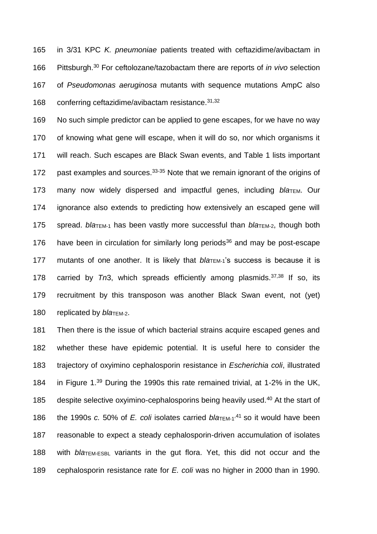165 in 3/31 KPC *K. pneumoniae* patients treated with ceftazidime/avibactam in 166 Pittsburgh.<sup>30</sup> For ceftolozane/tazobactam there are reports of *in vivo* selection 167 of *Pseudomonas aeruginosa* mutants with sequence mutations AmpC also 168 conferring ceftazidime/avibactam resistance.  $31,32$ 

169 No such simple predictor can be applied to gene escapes, for we have no way 170 of knowing what gene will escape, when it will do so, nor which organisms it 171 will reach. Such escapes are Black Swan events, and Table 1 lists important 172 past examples and sources.  $33-35$  Note that we remain ignorant of the origins of 173 many now widely dispersed and impactful genes, including bla<sub>TEM</sub>. Our 174 ignorance also extends to predicting how extensively an escaped gene will 175 spread. *bla*TEM-1 has been vastly more successful than *bla*TEM-2, though both 176 have been in circulation for similarly long periods<sup>36</sup> and may be post-escape 177 mutants of one another. It is likely that *bla*TEM-1's success is because it is 178 carried by  $Tn3$ , which spreads efficiently among plasmids.<sup>37,38</sup> If so, its 179 recruitment by this transposon was another Black Swan event, not (yet) 180 replicated by *bla*TEM-2.

 Then there is the issue of which bacterial strains acquire escaped genes and whether these have epidemic potential. It is useful here to consider the trajectory of oxyimino cephalosporin resistance in *Escherichia coli*, illustrated 184 in Figure 1. $39$  During the 1990s this rate remained trivial, at 1-2% in the UK, 185 despite selective oxyimino-cephalosporins being heavily used. $40$  At the start of 186 the 1990s *c.* 50% of *E. coli* isolates carried  $bla_{\text{TEM-1}}$ <sup>41</sup> so it would have been reasonable to expect a steady cephalosporin-driven accumulation of isolates with *bla*TEM-ESBL variants in the gut flora. Yet, this did not occur and the cephalosporin resistance rate for *E. coli* was no higher in 2000 than in 1990.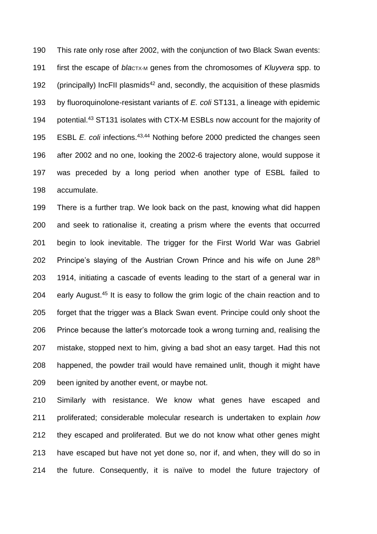This rate only rose after 2002, with the conjunction of two Black Swan events: 191 first the escape of *blactx-M* genes from the chromosomes of *Kluyvera* spp. to 192 (principally) IncFII plasmids<sup>42</sup> and, secondly, the acquisition of these plasmids by fluoroquinolone-resistant variants of *E. coli* ST131, a lineage with epidemic 194 potential.<sup>43</sup> ST131 isolates with CTX-M ESBLs now account for the majority of 195 ESBL *E. coli* infections.<sup>43,44</sup> Nothing before 2000 predicted the changes seen after 2002 and no one, looking the 2002-6 trajectory alone, would suppose it was preceded by a long period when another type of ESBL failed to accumulate.

 There is a further trap. We look back on the past, knowing what did happen and seek to rationalise it, creating a prism where the events that occurred begin to look inevitable. The trigger for the First World War was Gabriel 202 Principe's slaying of the Austrian Crown Prince and his wife on June  $28<sup>th</sup>$  1914, initiating a cascade of events leading to the start of a general war in 204 early August.<sup>45</sup> It is easy to follow the grim logic of the chain reaction and to forget that the trigger was a Black Swan event. Principe could only shoot the Prince because the latter's motorcade took a wrong turning and, realising the mistake, stopped next to him, giving a bad shot an easy target. Had this not happened, the powder trail would have remained unlit, though it might have been ignited by another event, or maybe not.

 Similarly with resistance. We know what genes have escaped and proliferated; considerable molecular research is undertaken to explain *how* they escaped and proliferated. But we do not know what other genes might have escaped but have not yet done so, nor if, and when, they will do so in the future. Consequently, it is naïve to model the future trajectory of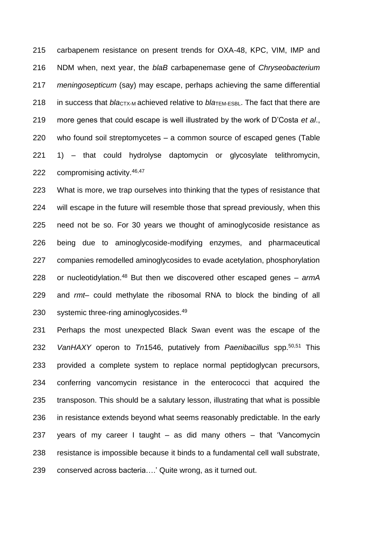carbapenem resistance on present trends for OXA-48, KPC, VIM, IMP and NDM when, next year, the *blaB* carbapenemase gene of *Chryseobacterium meningosepticum* (say) may escape, perhaps achieving the same differential 218 in success that *blactx-M* achieved relative to *blation-ESBL*. The fact that there are more genes that could escape is well illustrated by the work of D'Costa *et al*., who found soil streptomycetes – a common source of escaped genes (Table 1) – that could hydrolyse daptomycin or glycosylate telithromycin, 222 compromising activity. 46,47

 What is more, we trap ourselves into thinking that the types of resistance that will escape in the future will resemble those that spread previously, when this need not be so. For 30 years we thought of aminoglycoside resistance as being due to aminoglycoside-modifying enzymes, and pharmaceutical companies remodelled aminoglycosides to evade acetylation, phosphorylation 228 or nucleotidylation.<sup>48</sup> But then we discovered other escaped genes – armA and *rmt*– could methylate the ribosomal RNA to block the binding of all 230 systemic three-ring aminoglycosides.<sup>49</sup>

 Perhaps the most unexpected Black Swan event was the escape of the *VanHAXY* operon to *Tn*1546, putatively from *Paenibacillus* spp.50,51 This provided a complete system to replace normal peptidoglycan precursors, conferring vancomycin resistance in the enterococci that acquired the transposon. This should be a salutary lesson, illustrating that what is possible in resistance extends beyond what seems reasonably predictable. In the early years of my career I taught – as did many others – that 'Vancomycin resistance is impossible because it binds to a fundamental cell wall substrate, conserved across bacteria….' Quite wrong, as it turned out.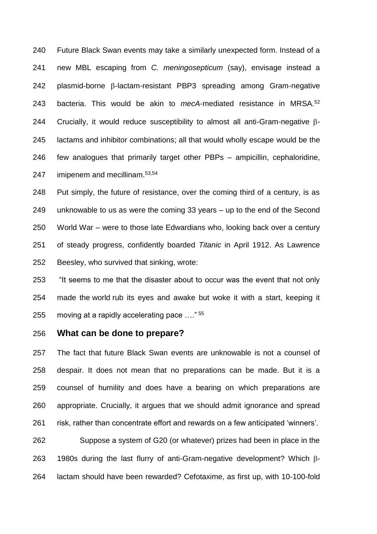Future Black Swan events may take a similarly unexpected form. Instead of a new MBL escaping from *C. meningosepticum* (say), envisage instead a plasmid-borne  $\beta$ -lactam-resistant PBP3 spreading among Gram-negative 243 bacteria. This would be akin to *mecA*-mediated resistance in MRSA.<sup>52</sup> 244 Crucially, it would reduce susceptibility to almost all anti-Gram-negative  $\beta$ - lactams and inhibitor combinations; all that would wholly escape would be the few analogues that primarily target other PBPs – ampicillin, cephaloridine, 247 imipenem and mecillinam.<sup>53,54</sup>

 Put simply, the future of resistance, over the coming third of a century, is as unknowable to us as were the coming 33 years – up to the end of the Second World War – were to those late Edwardians who, looking back over a century of steady progress, confidently boarded *Titanic* in April 1912. As Lawrence Beesley, who survived that sinking, wrote:

 "It seems to me that the disaster about to occur was the event that not only made the world rub its eyes and awake but woke it with a start, keeping it 255 moving at a rapidly accelerating pace  $\ldots$ <sup>55</sup>

### **What can be done to prepare?**

 The fact that future Black Swan events are unknowable is not a counsel of despair. It does not mean that no preparations can be made. But it is a counsel of humility and does have a bearing on which preparations are appropriate. Crucially, it argues that we should admit ignorance and spread risk, rather than concentrate effort and rewards on a few anticipated 'winners'.

 Suppose a system of G20 (or whatever) prizes had been in place in the 263 1980s during the last flurry of anti-Gram-negative development? Which  $\beta$ -lactam should have been rewarded? Cefotaxime, as first up, with 10-100-fold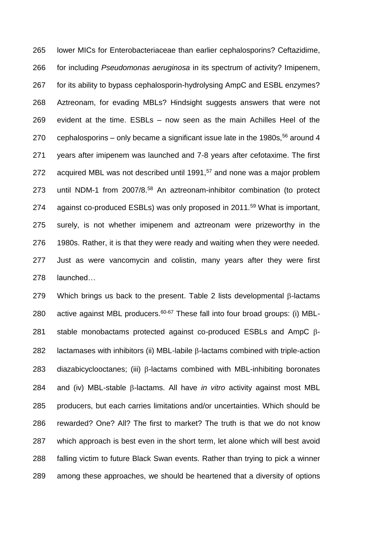lower MICs for Enterobacteriaceae than earlier cephalosporins? Ceftazidime, for including *Pseudomonas aeruginosa* in its spectrum of activity? Imipenem, for its ability to bypass cephalosporin-hydrolysing AmpC and ESBL enzymes? Aztreonam, for evading MBLs? Hindsight suggests answers that were not evident at the time. ESBLs – now seen as the main Achilles Heel of the 270 cephalosporins – only became a significant issue late in the 1980s, around 4 years after imipenem was launched and 7-8 years after cefotaxime. The first 272 acquired MBL was not described until 1991,<sup>57</sup> and none was a major problem 273 until NDM-1 from  $2007/8.58$  An aztreonam-inhibitor combination (to protect 274 against co-produced ESBLs) was only proposed in 2011.<sup>59</sup> What is important, surely, is not whether imipenem and aztreonam were prizeworthy in the 1980s. Rather, it is that they were ready and waiting when they were needed. Just as were vancomycin and colistin, many years after they were first launched…

279 Which brings us back to the present. Table 2 lists developmental  $\beta$ -lactams 280 active against MBL producers. $60-67$  These fall into four broad groups: (i) MBL-281 stable monobactams protected against co-produced ESBLs and AmpC  $\beta$ -282 lactamases with inhibitors (ii) MBL-labile  $\beta$ -lactams combined with triple-action diazabicyclooctanes; (iii)  $\beta$ -lactams combined with MBL-inhibiting boronates and (iv) MBL-stable  $\beta$ -lactams. All have *in vitro* activity against most MBL producers, but each carries limitations and/or uncertainties. Which should be rewarded? One? All? The first to market? The truth is that we do not know which approach is best even in the short term, let alone which will best avoid falling victim to future Black Swan events. Rather than trying to pick a winner among these approaches, we should be heartened that a diversity of options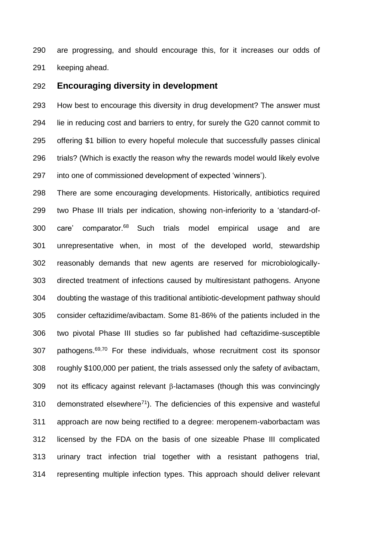are progressing, and should encourage this, for it increases our odds of keeping ahead.

#### **Encouraging diversity in development**

 How best to encourage this diversity in drug development? The answer must lie in reducing cost and barriers to entry, for surely the G20 cannot commit to offering \$1 billion to every hopeful molecule that successfully passes clinical trials? (Which is exactly the reason why the rewards model would likely evolve into one of commissioned development of expected 'winners').

 There are some encouraging developments. Historically, antibiotics required two Phase III trials per indication, showing non-inferiority to a 'standard-of-300 care' comparator.<sup>68</sup> Such trials model empirical usage and are unrepresentative when, in most of the developed world, stewardship reasonably demands that new agents are reserved for microbiologically- directed treatment of infections caused by multiresistant pathogens. Anyone doubting the wastage of this traditional antibiotic-development pathway should consider ceftazidime/avibactam. Some 81-86% of the patients included in the two pivotal Phase III studies so far published had ceftazidime-susceptible 307 pathogens. $69,70$  For these individuals, whose recruitment cost its sponsor roughly \$100,000 per patient, the trials assessed only the safety of avibactam, 309 not its efficacy against relevant  $\beta$ -lactamases (though this was convincingly 310 demonstrated elsewhere<sup>71</sup>). The deficiencies of this expensive and wasteful approach are now being rectified to a degree: meropenem-vaborbactam was licensed by the FDA on the basis of one sizeable Phase III complicated urinary tract infection trial together with a resistant pathogens trial, representing multiple infection types. This approach should deliver relevant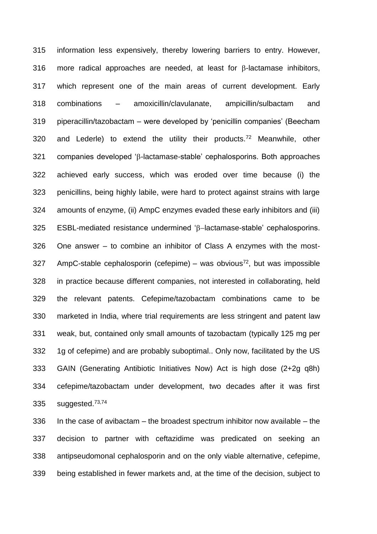information less expensively, thereby lowering barriers to entry. However, 316 more radical approaches are needed, at least for  $\beta$ -lactamase inhibitors, which represent one of the main areas of current development. Early combinations – amoxicillin/clavulanate, ampicillin/sulbactam and piperacillin/tazobactam – were developed by 'penicillin companies' (Beecham 320 and Lederle) to extend the utility their products.<sup>72</sup> Meanwhile, other 321 companies developed 'ß-lactamase-stable' cephalosporins. Both approaches achieved early success, which was eroded over time because (i) the penicillins, being highly labile, were hard to protect against strains with large amounts of enzyme, (ii) AmpC enzymes evaded these early inhibitors and (iii) ESBL-mediated resistance undermined ' $\beta$ -lactamase-stable' cephalosporins. One answer – to combine an inhibitor of Class A enzymes with the most- AmpC-stable cephalosporin (cefepime) – was obvious<sup>72</sup>, but was impossible in practice because different companies, not interested in collaborating, held the relevant patents. Cefepime/tazobactam combinations came to be marketed in India, where trial requirements are less stringent and patent law weak, but, contained only small amounts of tazobactam (typically 125 mg per 1g of cefepime) and are probably suboptimal.. Only now, facilitated by the US GAIN (Generating Antibiotic Initiatives Now) Act is high dose (2+2g q8h) cefepime/tazobactam under development, two decades after it was first 335 suggested. $73,74$ 

 In the case of avibactam – the broadest spectrum inhibitor now available – the decision to partner with ceftazidime was predicated on seeking an antipseudomonal cephalosporin and on the only viable alternative, cefepime, being established in fewer markets and, at the time of the decision, subject to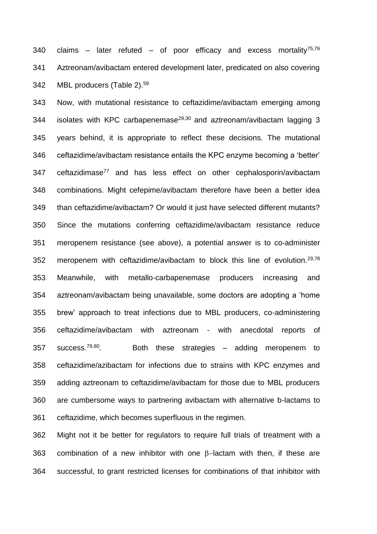340 claims – later refuted – of poor efficacy and excess mortality<sup>75,76</sup> Aztreonam/avibactam entered development later, predicated on also covering 342 MBL producers (Table 2).<sup>59</sup>

 Now, with mutational resistance to ceftazidime/avibactam emerging among 344 isolates with KPC carbapenemase<sup>29,30</sup> and aztreonam/avibactam lagging 3 years behind, it is appropriate to reflect these decisions. The mutational ceftazidime/avibactam resistance entails the KPC enzyme becoming a 'better' 347 ceftazidimase<sup>77</sup> and has less effect on other cephalosporin/avibactam combinations. Might cefepime/avibactam therefore have been a better idea than ceftazidime/avibactam? Or would it just have selected different mutants? Since the mutations conferring ceftazidime/avibactam resistance reduce meropenem resistance (see above), a potential answer is to co-administer 352 meropenem with ceftazidime/avibactam to block this line of evolution.<sup>29,78</sup> Meanwhile, with metallo-carbapenemase producers increasing and aztreonam/avibactam being unavailable, some doctors are adopting a 'home brew' approach to treat infections due to MBL producers, co-administering ceftazidime/avibactam with aztreonam - with anecdotal reports of success. $79,80$ . 357 success.<sup>79,80</sup> Both these strategies  $-$  adding meropenem to ceftazidime/azibactam for infections due to strains with KPC enzymes and adding aztreonam to ceftazidime/avibactam for those due to MBL producers are cumbersome ways to partnering avibactam with alternative b-lactams to ceftazidime, which becomes superfluous in the regimen.

 Might not it be better for regulators to require full trials of treatment with a 363 combination of a new inhibitor with one  $\beta$ -lactam with then, if these are successful, to grant restricted licenses for combinations of that inhibitor with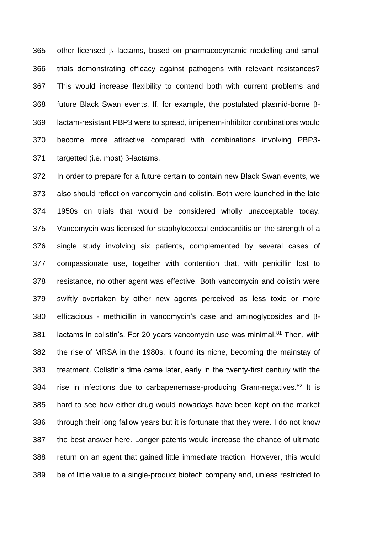other licensed  $\beta$ -lactams, based on pharmacodynamic modelling and small trials demonstrating efficacy against pathogens with relevant resistances? This would increase flexibility to contend both with current problems and 368 future Black Swan events. If, for example, the postulated plasmid-borne  $\beta$ - lactam-resistant PBP3 were to spread, imipenem-inhibitor combinations would become more attractive compared with combinations involving PBP3- 371 targetted (i.e. most)  $\beta$ -lactams.

 In order to prepare for a future certain to contain new Black Swan events, we also should reflect on vancomycin and colistin. Both were launched in the late 1950s on trials that would be considered wholly unacceptable today. Vancomycin was licensed for staphylococcal endocarditis on the strength of a single study involving six patients, complemented by several cases of compassionate use, together with contention that, with penicillin lost to resistance, no other agent was effective. Both vancomycin and colistin were swiftly overtaken by other new agents perceived as less toxic or more 380 efficacious - methicillin in vancomycin's case and aminoglycosides and  $\beta$ -381 lactams in colistin's. For 20 years vancomycin use was minimal. Then, with the rise of MRSA in the 1980s, it found its niche, becoming the mainstay of treatment. Colistin's time came later, early in the twenty-first century with the 384 rise in infections due to carbapenemase-producing Gram-negatives. It is hard to see how either drug would nowadays have been kept on the market through their long fallow years but it is fortunate that they were. I do not know the best answer here. Longer patents would increase the chance of ultimate return on an agent that gained little immediate traction. However, this would be of little value to a single-product biotech company and, unless restricted to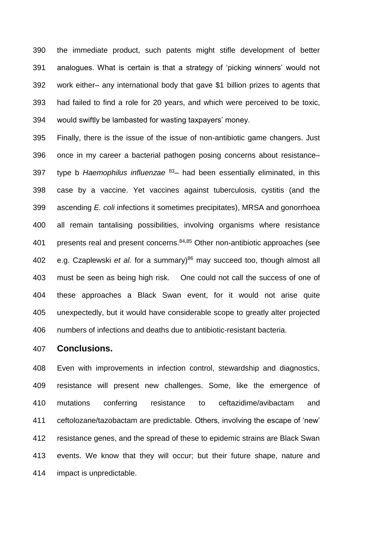the immediate product, such patents might stifle development of better analogues. What is certain is that a strategy of 'picking winners' would not work either– any international body that gave \$1 billion prizes to agents that had failed to find a role for 20 years, and which were perceived to be toxic, would swiftly be lambasted for wasting taxpayers' money.

 Finally, there is the issue of the issue of non-antibiotic game changers. Just once in my career a bacterial pathogen posing concerns about resistance– 397 type b *Haemophilus influenzae* <sup>83</sup>- had been essentially eliminated, in this case by a vaccine. Yet vaccines against tuberculosis, cystitis (and the ascending *E. coli* infections it sometimes precipitates), MRSA and gonorrhoea all remain tantalising possibilities, involving organisms where resistance 401 presents real and present concerns.  $84,85$  Other non-antibiotic approaches (see 402 e.g. Czaplewski *et al.* for a summary)<sup>86</sup> may succeed too, though almost all must be seen as being high risk. One could not call the success of one of these approaches a Black Swan event, for it would not arise quite unexpectedly, but it would have considerable scope to greatly alter projected numbers of infections and deaths due to antibiotic-resistant bacteria.

## **Conclusions.**

 Even with improvements in infection control, stewardship and diagnostics, resistance will present new challenges. Some, like the emergence of mutations conferring resistance to ceftazidime/avibactam and ceftolozane/tazobactam are predictable. Others, involving the escape of 'new' resistance genes, and the spread of these to epidemic strains are Black Swan events. We know that they will occur; but their future shape, nature and impact is unpredictable.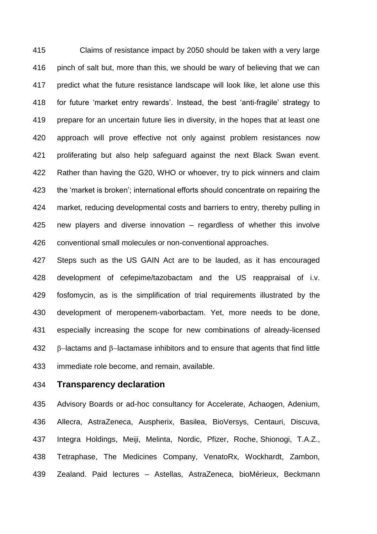Claims of resistance impact by 2050 should be taken with a very large pinch of salt but, more than this, we should be wary of believing that we can predict what the future resistance landscape will look like, let alone use this for future 'market entry rewards'. Instead, the best 'anti-fragile' strategy to prepare for an uncertain future lies in diversity, in the hopes that at least one approach will prove effective not only against problem resistances now proliferating but also help safeguard against the next Black Swan event. Rather than having the G20, WHO or whoever, try to pick winners and claim the 'market is broken'; international efforts should concentrate on repairing the market, reducing developmental costs and barriers to entry, thereby pulling in new players and diverse innovation – regardless of whether this involve conventional small molecules or non-conventional approaches.

 Steps such as the US GAIN Act are to be lauded, as it has encouraged development of cefepime/tazobactam and the US reappraisal of i.v. fosfomycin, as is the simplification of trial requirements illustrated by the development of meropenem-vaborbactam. Yet, more needs to be done, especially increasing the scope for new combinations of already-licensed  $\beta$ -lactams and  $\beta$ -lactamase inhibitors and to ensure that agents that find little immediate role become, and remain, available.

**Transparency declaration**

 Advisory Boards or ad-hoc consultancy for Accelerate, Achaogen, Adenium, Allecra, AstraZeneca, Auspherix, Basilea, BioVersys, Centauri, Discuva, Integra Holdings, Meiji, Melinta, Nordic, Pfizer, Roche, Shionogi, T.A.Z., Tetraphase, The Medicines Company, VenatoRx, Wockhardt, Zambon, Zealand. Paid lectures – Astellas, AstraZeneca, bioMérieux, Beckmann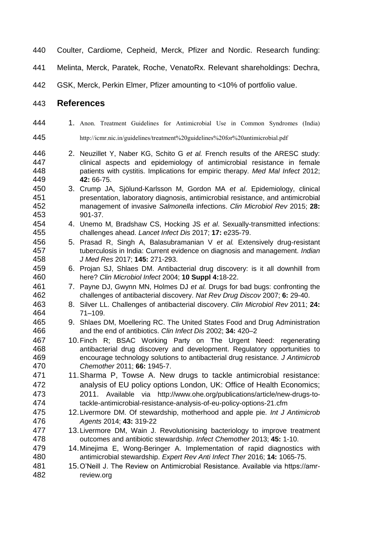- Coulter, Cardiome, Cepheid, Merck, Pfizer and Nordic. Research funding:
- Melinta, Merck, Paratek, Roche, VenatoRx. Relevant shareholdings: Dechra,

GSK, Merck, Perkin Elmer, Pfizer amounting to <10% of portfolio value.

## **References**

- 444 1. Anon. Treatment Guidelines for Antimicrobial Use in Common Syndromes (India) http://icmr.nic.in/guidelines/treatment%20guidelines%20for%20antimicrobial.pdf
- 2. Neuzillet Y, Naber KG, Schito G *et al.* French results of the ARESC study: clinical aspects and epidemiology of antimicrobial resistance in female patients with cystitis. Implications for empiric therapy. *Med Mal Infect* 2012; **42:** 66-75.
- 3. Crump JA, Sjölund-Karlsson M, Gordon MA *et al*. Epidemiology, clinical presentation, laboratory diagnosis, antimicrobial resistance, and antimicrobial management of invasive *Salmonella* infections. *Clin Microbiol Rev* 2015; **28:** 901-37.
- 4. Unemo M, Bradshaw CS, Hocking JS *et al*. Sexually-transmitted infections: challenges ahead. *Lancet Infect Dis* 2017; **17:** e235-79.
- 5. Prasad R, Singh A, Balasubramanian V *et al.* Extensively drug-resistant tuberculosis in India: Current evidence on diagnosis and management. *Indian J Med Res* 2017; **145:** 271-293.
- 6. Projan SJ, Shlaes DM. Antibacterial drug discovery: is it all downhill from here? *Clin Microbiol Infect* 2004; **10 Suppl 4:**18-22.
- 7. Payne DJ, Gwynn MN, Holmes DJ *et al.* Drugs for bad bugs: confronting the challenges of antibacterial discovery. *Nat Rev Drug Discov* 2007; **6:** 29-40.
- 8. Silver LL. Challenges of antibacterial discovery. *Clin Microbiol Rev* 2011; **24:** 71–109.
- 9. Shlaes DM, Moellering RC. The United States Food and Drug Administration and the end of antibiotics. *Clin Infect Dis* 2002; **34:** 420–2
- 10.Finch R; BSAC Working Party on The Urgent Need: regenerating antibacterial drug discovery and development. Regulatory opportunities to encourage technology solutions to antibacterial drug resistance. *J Antimicrob Chemother* 2011; **66:** 1945-7.
- 11.Sharma P, Towse A. New drugs to tackle antimicrobial resistance: analysis of EU policy options London, UK: Office of Health Economics; 2011. Available via http://www.ohe.org/publications/article/new-drugs-to-tackle-antimicrobial-resistance-analysis-of-eu-policy-options-21.cfm
- 12.Livermore DM. Of stewardship, motherhood and apple pie*. Int J Antimicrob Agents* 2014; **43:** 319-22
- 13.Livermore DM, Wain J. Revolutionising bacteriology to improve treatment outcomes and antibiotic stewardship. *Infect Chemother* 2013; **45:** 1-10.
- 14.Minejima E, Wong-Beringer A. Implementation of rapid diagnostics with antimicrobial stewardship. *Expert Rev Anti Infect Ther* 2016; **14:** 1065-75.
- 15.O'Neill J. The Review on Antimicrobial Resistance. Available via https://amr-review.org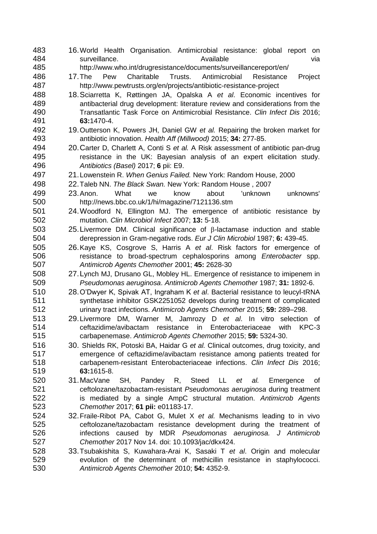16.World Health Organisation. Antimicrobial resistance: global report on 484 surveillance. Available Available surveillance.<br>485 http://www.who.int/drugresistance/documents/surveillancereport/en/ http://www.who.int/drugresistance/documents/surveillancereport/en/ 17.The Pew Charitable Trusts. Antimicrobial Resistance Project http://www.pewtrusts.org/en/projects/antibiotic-resistance-project 18.Sciarretta K, Røttingen JA, Opalska A *et al*. Economic incentives for antibacterial drug development: literature review and considerations from the Transatlantic Task Force on Antimicrobial Resistance. *Clin Infect Dis* 2016; **63:**1470-4. 492 19. Outterson K, Powers JH, Daniel GW *et al.* Repairing the broken market for<br>493 **19. Australie 19. Accord 19. Accord 19. Part 19. Accord 19. Accord 19. Accord 19. Accord 19. Accord 19. A**  antibiotic innovation. *Health Aff (Millwood)* 2015; **34:** 277-85. 20.Carter D, Charlett A, Conti S *et al.* A Risk assessment of antibiotic pan-drug resistance in the UK: Bayesian analysis of an expert elicitation study. *Antibiotics (Basel)* 2017; **6** pii: E9. 21.Lowenstein R. *When Genius Failed.* New York: Random House, 2000 22.Taleb NN. *The Black Swan.* New York: Random House , 2007 23.Anon. What we know about 'unknown unknowns' http://news.bbc.co.uk/1/hi/magazine/7121136.stm 24.Woodford N, Ellington MJ. The emergence of antibiotic resistance by mutation. *Clin Microbiol Infect* 2007; **13:** 5-18. 25. Livermore DM. Clinical significance of  $\beta$ -lactamase induction and stable derepression in Gram-negative rods. *Eur J Clin Microbiol* 1987; **6:** 439-45. 26.Kaye KS, Cosgrove S, Harris A *et al*. Risk factors for emergence of resistance to broad-spectrum cephalosporins among *Enterobacter* spp. *Antimicrob Agents Chemother* 2001; **45:** 2628-30 27.Lynch MJ, Drusano GL, Mobley HL. Emergence of resistance to imipenem in *Pseudomonas aeruginosa*. *Antimicrob Agents Chemother* 1987; **31:** 1892-6. 28.O'Dwyer K, Spivak AT, Ingraham K *et al*. Bacterial resistance to leucyl-tRNA synthetase inhibitor GSK2251052 develops during treatment of complicated urinary tract infections. *Antimicrob Agents Chemother* 2015; **59:** 289–298. 29.Livermore DM, Warner M, Jamrozy D *et al*. In vitro selection of ceftazidime/avibactam resistance in Enterobacteriaceae with KPC-3 carbapenemase. *Antimicrob Agents Chemother* 2015; **59:** 5324-30. 30. Shields RK, Potoski BA, Haidar G *et al.* Clinical outcomes, drug toxicity, and emergence of ceftazidime/avibactam resistance among patients treated for carbapenem-resistant Enterobacteriaceae infections. *Clin Infect Dis* 2016; **63:**1615-8. 31.MacVane SH, Pandey R, Steed LL *et al.* Emergence of ceftolozane/tazobactam-resistant *Pseudomonas aeruginosa* during treatment is mediated by a single AmpC structural mutation. *Antimicrob Agents Chemother* 2017; **61 pii:** e01183-17. 32.Fraile-Ribot PA, Cabot G, Mulet X *et al.* Mechanisms leading to in vivo ceftolozane/tazobactam resistance development during the treatment of infections caused by MDR *Pseudomonas aeruginosa. J Antimicrob Chemother* 2017 Nov 14. doi: 10.1093/jac/dkx424. 33.Tsubakishita S, Kuwahara-Arai K, Sasaki T *et al*. Origin and molecular evolution of the determinant of methicillin resistance in staphylococci. *Antimicrob Agents Chemother* 2010; **54:** 4352-9.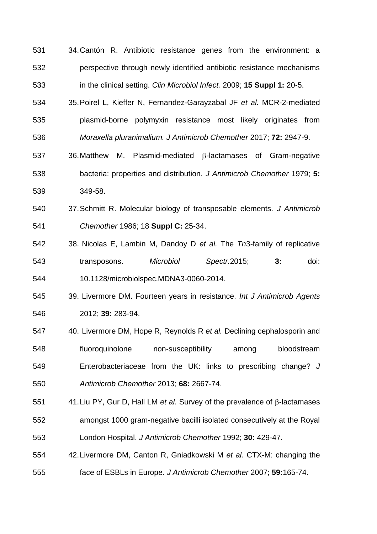- 34.Cantón R. Antibiotic resistance genes from the environment: a perspective through newly identified antibiotic resistance mechanisms in the clinical setting. *Clin Microbiol Infect.* 2009; **15 Suppl 1:** 20-5.
- 35.Poirel L, Kieffer N, Fernandez-Garayzabal JF *et al.* MCR-2-mediated plasmid-borne polymyxin resistance most likely originates from *Moraxella pluranimalium. J Antimicrob Chemother* 2017; **72:** 2947-9.
- 537 36. Matthew M. Plasmid-mediated  $\beta$ -lactamases of Gram-negative bacteria: properties and distribution. *J Antimicrob Chemother* 1979; **5:** 349-58.
- 37.Schmitt R. Molecular biology of transposable elements. *J Antimicrob Chemother* 1986; 18 **Suppl C:** 25-34.
- 38. Nicolas E, Lambin M, Dandoy D *et al.* The *Tn*3-family of replicative transposons. *Microbiol Spectr.*2015; **3:** doi: 10.1128/microbiolspec.MDNA3-0060-2014.
- 39. Livermore DM. Fourteen years in resistance. *Int J Antimicrob Agents* 2012; **39:** 283-94.
- 40. Livermore DM, Hope R, Reynolds R *et al.* Declining cephalosporin and fluoroquinolone non-susceptibility among bloodstream Enterobacteriaceae from the UK: links to prescribing change? *J Antimicrob Chemother* 2013; **68:** 2667-74.
- 41. Liu PY, Gur D, Hall LM *et al.* Survey of the prevalence of  $\beta$ -lactamases amongst 1000 gram-negative bacilli isolated consecutively at the Royal London Hospital. *J Antimicrob Chemother* 1992; **30:** 429-47.
- 42.Livermore DM, Canton R, Gniadkowski M *et al.* CTX-M: changing the face of ESBLs in Europe. *J Antimicrob Chemother* 2007; **59:**165-74.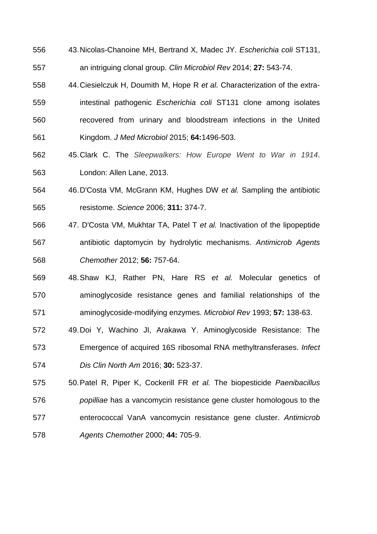- 43.Nicolas-Chanoine MH, Bertrand X, Madec JY. *Escherichia coli* ST131, an intriguing clonal group. *Clin Microbiol Rev* 2014; **27:** 543-74.
- 44.Ciesielczuk H, Doumith M, Hope R *et al.* Characterization of the extra- intestinal pathogenic *Escherichia coli* ST131 clone among isolates recovered from urinary and bloodstream infections in the United Kingdom. *J Med Microbiol* 2015; **64:**1496-503.
- 45.Clark C. The *Sleepwalkers: How Europe Went to War in 1914*. London: Allen Lane, 2013.
- 46.D'Costa VM, McGrann KM, Hughes DW *et al.* Sampling the antibiotic resistome. *Science* 2006; **311:** 374-7.
- 47. D'Costa VM, Mukhtar TA, Patel T *et al.* Inactivation of the lipopeptide antibiotic daptomycin by hydrolytic mechanisms. *Antimicrob Agents Chemother* 2012; **56:** 757-64.
- 48.Shaw KJ, Rather PN, Hare RS *et al.* Molecular genetics of aminoglycoside resistance genes and familial relationships of the aminoglycoside-modifying enzymes. *Microbiol Rev* 1993; **57:** 138-63.
- 49.Doi Y, Wachino JI, Arakawa Y. Aminoglycoside Resistance: The Emergence of acquired 16S ribosomal RNA methyltransferases. *Infect Dis Clin North Am* 2016; **30:** 523-37.
- 50.Patel R, Piper K, Cockerill FR *et al.* The biopesticide *Paenibacillus popilliae* has a vancomycin resistance gene cluster homologous to the enterococcal VanA vancomycin resistance gene cluster. *Antimicrob Agents Chemother* 2000; **44:** 705-9.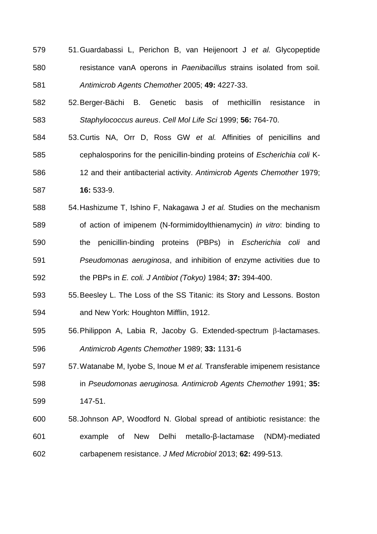- 51.Guardabassi L, Perichon B, van Heijenoort J *et al.* Glycopeptide resistance vanA operons in *Paenibacillus* strains isolated from soil. *Antimicrob Agents Chemother* 2005; **49:** 4227-33.
- 52.Berger-Bächi B. Genetic basis of methicillin resistance in *Staphylococcus aureus*. *Cell Mol Life Sci* 1999; **56:** 764-70.
- 53.Curtis NA, Orr D, Ross GW *et al.* Affinities of penicillins and cephalosporins for the penicillin-binding proteins of *Escherichia coli* K- 12 and their antibacterial activity. *Antimicrob Agents Chemother* 1979; **16:** 533-9.
- 54.Hashizume T, Ishino F, Nakagawa J *et al.* Studies on the mechanism of action of imipenem (N-formimidoylthienamycin) *in vitro*: binding to the penicillin-binding proteins (PBPs) in *Escherichia coli* and *Pseudomonas aeruginosa*, and inhibition of enzyme activities due to the PBPs in *E. coli. J Antibiot (Tokyo)* 1984; **37:** 394-400.
- 55.Beesley L. The Loss of the SS Titanic: its Story and Lessons. Boston and New York: Houghton Mifflin, 1912.
- 56. Philippon A, Labia R, Jacoby G. Extended-spectrum  $\beta$ -lactamases. *Antimicrob Agents Chemother* 1989; **33:** 1131-6
- 57.Watanabe M, Iyobe S, Inoue M *et al.* Transferable imipenem resistance in *Pseudomonas aeruginosa. Antimicrob Agents Chemother* 1991; **35:** 147-51.
- 58.Johnson AP, Woodford N. Global spread of antibiotic resistance: the example of New Delhi metallo-β-lactamase (NDM)-mediated carbapenem resistance. *J Med Microbiol* 2013; **62:** 499-513.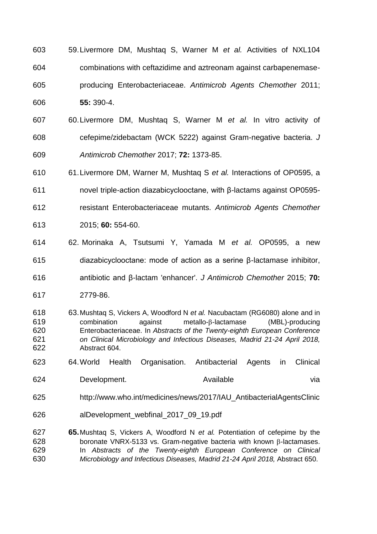- 59.Livermore DM, Mushtaq S, Warner M *et al.* Activities of NXL104 combinations with ceftazidime and aztreonam against carbapenemase- producing Enterobacteriaceae. *Antimicrob Agents Chemother* 2011; **55:** 390-4.
- 60.Livermore DM, Mushtaq S, Warner M *et al.* In vitro activity of cefepime/zidebactam (WCK 5222) against Gram-negative bacteria. *J Antimicrob Chemother* 2017; **72:** 1373-85.
- 61.Livermore DM, Warner M, Mushtaq S *et al.* Interactions of OP0595, a
- novel triple-action diazabicyclooctane, with β-lactams against OP0595-
- resistant Enterobacteriaceae mutants. *Antimicrob Agents Chemother*
- 2015; **60:** 554-60.
- 62. Morinaka A, Tsutsumi Y, Yamada M *et al.* OP0595, a new
- diazabicyclooctane: mode of action as a serine β-lactamase inhibitor,
- antibiotic and β-lactam 'enhancer'. *J Antimicrob Chemother* 2015; **70:**
- 2779-86.
- 63.Mushtaq S, Vickers A, Woodford N *et al.* Nacubactam (RG6080) alone and in 619 combination against metallo-8-lactamase (MBL)-producing Enterobacteriaceae. In *Abstracts of the Twenty-eighth European Conference on Clinical Microbiology and Infectious Diseases, Madrid 21-24 April 2018,*  Abstract 604.
- 64.World Health Organisation. Antibacterial Agents in Clinical
- 624 Development. Available via
- http://www.who.int/medicines/news/2017/IAU\_AntibacterialAgentsClinic
- alDevelopment\_webfinal\_2017\_09\_19.pdf
- **65.**Mushtaq S, Vickers A, Woodford N *et al.* Potentiation of cefepime by the boronate VNRX-5133 vs. Gram-negative bacteria with known  $\beta$ -lactamases. In *Abstracts of the Twenty-eighth European Conference on Clinical Microbiology and Infectious Diseases, Madrid 21-24 April 2018,* Abstract 650.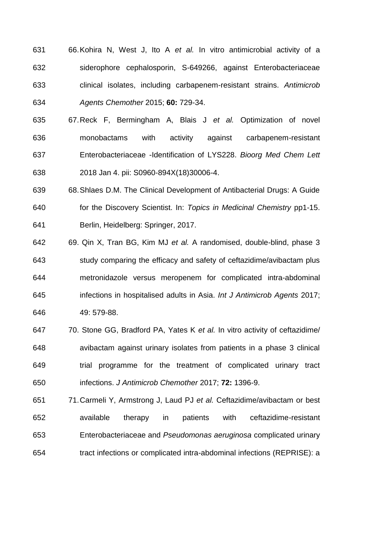- 66.Kohira N, West J, Ito A *et al.* In vitro antimicrobial activity of a siderophore cephalosporin, S-649266, against Enterobacteriaceae clinical isolates, including carbapenem-resistant strains. *Antimicrob Agents Chemother* 2015; **60:** 729-34.
- 67.Reck F, Bermingham A, Blais J *et al.* Optimization of novel monobactams with activity against carbapenem-resistant Enterobacteriaceae -Identification of LYS228. *Bioorg Med Chem Lett* 2018 Jan 4. pii: S0960-894X(18)30006-4.
- 68.Shlaes D.M. The Clinical Development of Antibacterial Drugs: A Guide for the Discovery Scientist. In: *Topics in Medicinal Chemistry* pp1-15. Berlin, Heidelberg: Springer, 2017.
- 69. Qin X, Tran BG, Kim MJ *et al.* A randomised, double-blind, phase 3 study comparing the efficacy and safety of ceftazidime/avibactam plus metronidazole versus meropenem for complicated intra-abdominal infections in hospitalised adults in Asia. *Int J Antimicrob Agents* 2017; 49: 579-88.
- 70. Stone GG, Bradford PA, Yates K *et al.* In vitro activity of ceftazidime/ avibactam against urinary isolates from patients in a phase 3 clinical trial programme for the treatment of complicated urinary tract infections. *J Antimicrob Chemother* 2017; **72:** 1396-9.
- 71.Carmeli Y, Armstrong J, Laud PJ *et al.* Ceftazidime/avibactam or best available therapy in patients with ceftazidime-resistant Enterobacteriaceae and *Pseudomonas aeruginosa* complicated urinary tract infections or complicated intra-abdominal infections (REPRISE): a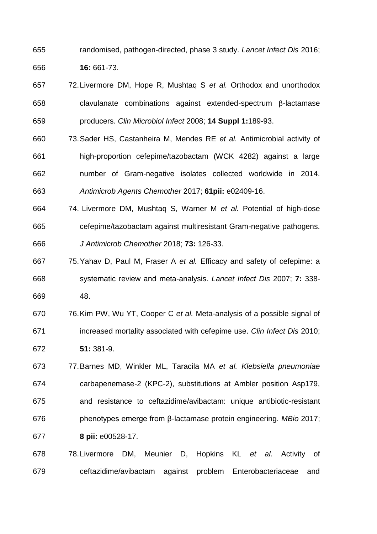randomised, pathogen-directed, phase 3 study. *Lancet Infect Dis* 2016; **16:** 661-73.

- 72.Livermore DM, Hope R, Mushtaq S *et al.* Orthodox and unorthodox clavulanate combinations against extended-spectrum  $\beta$ -lactamase producers. *Clin Microbiol Infect* 2008; **14 Suppl 1:**189-93.
- 73.Sader HS, Castanheira M, Mendes RE *et al.* Antimicrobial activity of high-proportion cefepime/tazobactam (WCK 4282) against a large number of Gram-negative isolates collected worldwide in 2014. *Antimicrob Agents Chemother* 2017; **61pii:** e02409-16.
- 74. Livermore DM, Mushtaq S, Warner M *et al.* Potential of high-dose cefepime/tazobactam against multiresistant Gram-negative pathogens. *J Antimicrob Chemother* 2018; **73:** 126-33.
- 75.Yahav D, Paul M, Fraser A *et al.* Efficacy and safety of cefepime: a systematic review and meta-analysis. *Lancet Infect Dis* 2007; **7:** 338- 48.
- 76.Kim PW, Wu YT, Cooper C *et al.* Meta-analysis of a possible signal of increased mortality associated with cefepime use. *Clin Infect Dis* 2010; **51:** 381-9.
- 77.Barnes MD, Winkler ML, Taracila MA *et al. Klebsiella pneumoniae* carbapenemase-2 (KPC-2), substitutions at Ambler position Asp179, and resistance to ceftazidime/avibactam: unique antibiotic-resistant phenotypes emerge from β-lactamase protein engineering. *MBio* 2017; **8 pii:** e00528-17.
- 78.Livermore DM, Meunier D, Hopkins KL *et al.* Activity of ceftazidime/avibactam against problem Enterobacteriaceae and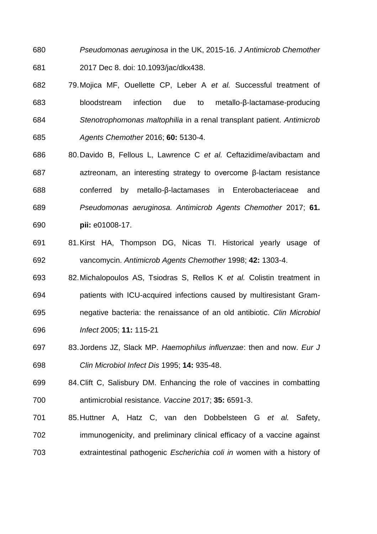- *Pseudomonas aeruginosa* in the UK, 2015-16. *J Antimicrob Chemother* 2017 Dec 8. doi: 10.1093/jac/dkx438.
- 79.Mojica MF, Ouellette CP, Leber A *et al.* Successful treatment of bloodstream infection due to metallo-β-lactamase-producing *Stenotrophomonas maltophilia* in a renal transplant patient. *Antimicrob Agents Chemother* 2016; **60:** 5130-4.
- 80.Davido B, Fellous L, Lawrence C *et al.* Ceftazidime/avibactam and aztreonam, an interesting strategy to overcome β-lactam resistance conferred by metallo-β-lactamases in Enterobacteriaceae and *Pseudomonas aeruginosa. Antimicrob Agents Chemother* 2017; **61. pii:** e01008-17.
- 81.Kirst HA, Thompson DG, Nicas TI. Historical yearly usage of vancomycin. *Antimicrob Agents Chemother* 1998; **42:** 1303-4.
- 82.Michalopoulos AS, Tsiodras S, Rellos K *et al.* Colistin treatment in patients with ICU-acquired infections caused by multiresistant Gram- negative bacteria: the renaissance of an old antibiotic. *Clin Microbiol Infect* 2005; **11:** 115-21
- 83.Jordens JZ, Slack MP. *Haemophilus influenzae*: then and now. *Eur J Clin Microbiol Infect Dis* 1995; **14:** 935-48.
- 84.Clift C, Salisbury DM. Enhancing the role of vaccines in combatting antimicrobial resistance. *Vaccine* 2017; **35:** 6591-3.
- 85.Huttner A, Hatz C, van den Dobbelsteen G *et al.* Safety, immunogenicity, and preliminary clinical efficacy of a vaccine against extraintestinal pathogenic *Escherichia coli in* women with a history of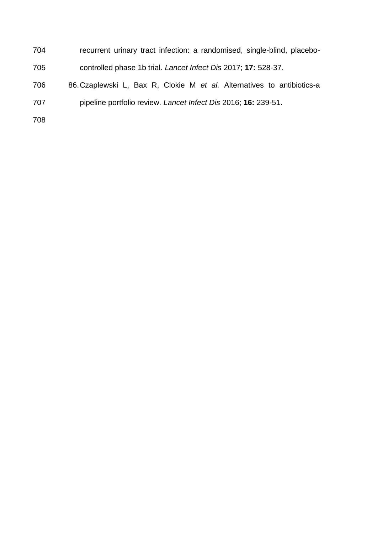- recurrent urinary tract infection: a randomised, single-blind, placebo-controlled phase 1b trial. *Lancet Infect Dis* 2017; **17:** 528-37.
- 86.Czaplewski L, Bax R, Clokie M *et al.* Alternatives to antibiotics-a pipeline portfolio review. *Lancet Infect Dis* 2016; **16:** 239-51.
-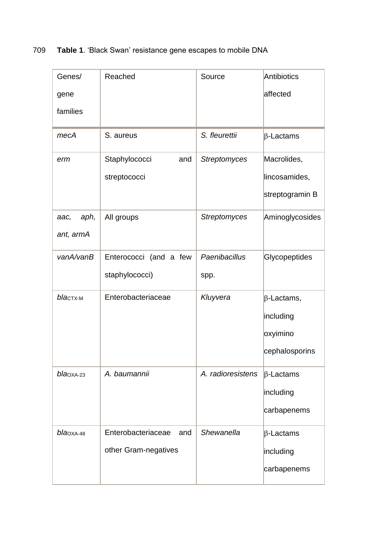709 **Table 1**. 'Black Swan' resistance gene escapes to mobile DNA

| Genes/          | Reached                   | Source              | Antibiotics          |
|-----------------|---------------------------|---------------------|----------------------|
| gene            |                           |                     | affected             |
| families        |                           |                     |                      |
| mecA            | S. aureus                 | S. fleurettii       | $\beta$ -Lactams     |
| erm             | Staphylococci<br>and      | <b>Streptomyces</b> | Macrolides,          |
|                 | streptococci              |                     | lincosamides,        |
|                 |                           |                     | streptogramin B      |
| aph,<br>aac,    | All groups                | <b>Streptomyces</b> | Aminoglycosides      |
| ant, armA       |                           |                     |                      |
| vanA/vanB       | Enterococci (and a few    | Paenibacillus       | <b>Glycopeptides</b> |
|                 | staphylococci)            | spp.                |                      |
| blactx-M        | Enterobacteriaceae        | Kluyvera            | $\beta$ -Lactams,    |
|                 |                           |                     | including            |
|                 |                           |                     | oxyimino             |
|                 |                           |                     | cephalosporins       |
| $blaOXA-23$     | A. baumannii              | A. radioresistens   | $\beta$ -Lactams     |
|                 |                           |                     | including            |
|                 |                           |                     | carbapenems          |
| $b$ la $OXA-48$ | Enterobacteriaceae<br>and | Shewanella          | $\beta$ -Lactams     |
|                 | other Gram-negatives      |                     | including            |
|                 |                           |                     | carbapenems          |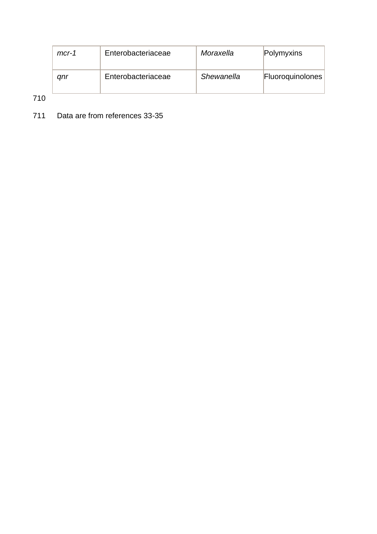| $mcr-1$ | Enterobacteriaceae | Moraxella  | Polymyxins              |
|---------|--------------------|------------|-------------------------|
| anr     | Enterobacteriaceae | Shewanella | <b>Fluoroquinolones</b> |

710

711 Data are from references 33-35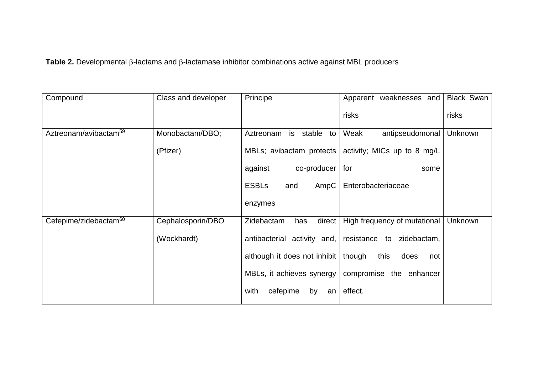Table 2. Developmental  $\beta$ -lactams and  $\beta$ -lactamase inhibitor combinations active against MBL producers

| Compound                          | Class and developer | Principe                              | Apparent weaknesses and                                | <b>Black Swan</b> |
|-----------------------------------|---------------------|---------------------------------------|--------------------------------------------------------|-------------------|
|                                   |                     |                                       | risks                                                  | risks             |
| Aztreonam/avibactam <sup>59</sup> | Monobactam/DBO;     | is stable<br>Aztreonam<br>to          | Weak<br>antipseudomonal                                | Unknown           |
|                                   | (Pfizer)            |                                       | MBLs; avibactam protects   activity; MICs up to 8 mg/L |                   |
|                                   |                     | co-producer<br>against                | for<br>some                                            |                   |
|                                   |                     | <b>ESBLs</b><br>AmpC<br>and           | Enterobacteriaceae                                     |                   |
|                                   |                     | enzymes                               |                                                        |                   |
| Cefepime/zidebactam <sup>60</sup> | Cephalosporin/DBO   | direct<br>Zidebactam<br>has           | High frequency of mutational                           | Unknown           |
|                                   | (Wockhardt)         |                                       | antibacterial activity and, resistance to zidebactam,  |                   |
|                                   |                     | although it does not inhibit   though | this<br>does<br>not                                    |                   |
|                                   |                     |                                       | MBLs, it achieves synergy   compromise the enhancer    |                   |
|                                   |                     | cefepime<br>with<br>by<br>an          | effect.                                                |                   |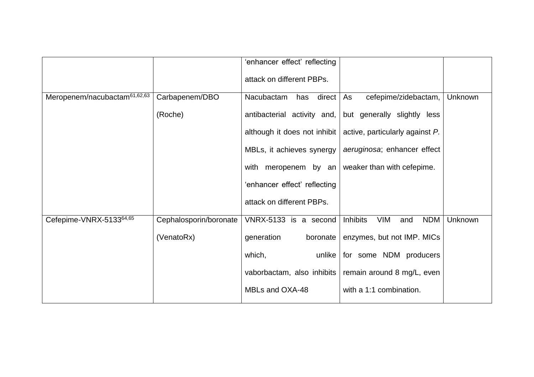|                                          |                        | 'enhancer effect' reflecting |                                                                     |         |
|------------------------------------------|------------------------|------------------------------|---------------------------------------------------------------------|---------|
|                                          |                        | attack on different PBPs.    |                                                                     |         |
| Meropenem/nacubactam <sup>61,62,63</sup> | Carbapenem/DBO         | direct<br>Nacubactam<br>has  | As<br>cefepime/zidebactam,                                          | Unknown |
|                                          | (Roche)                | antibacterial activity and,  | but generally slightly less                                         |         |
|                                          |                        |                              | although it does not inhibit $ $ active, particularly against $P$ . |         |
|                                          |                        |                              | MBLs, it achieves synergy   aeruginosa; enhancer effect             |         |
|                                          |                        |                              | with meropenem by an weaker than with cefepime.                     |         |
|                                          |                        | 'enhancer effect' reflecting |                                                                     |         |
|                                          |                        | attack on different PBPs.    |                                                                     |         |
| Cefepime-VNRX-513364,65                  | Cephalosporin/boronate | VNRX-5133 is a second        | <b>Inhibits</b><br><b>NDM</b><br><b>VIM</b><br>and                  | Unknown |
|                                          | (VenatoRx)             | generation<br>boronate       | enzymes, but not IMP. MICs                                          |         |
|                                          |                        | which,<br>unlike             | for some NDM producers                                              |         |
|                                          |                        |                              | vaborbactam, also inhibits   remain around 8 mg/L, even             |         |
|                                          |                        | MBLs and OXA-48              | with a 1:1 combination.                                             |         |
|                                          |                        |                              |                                                                     |         |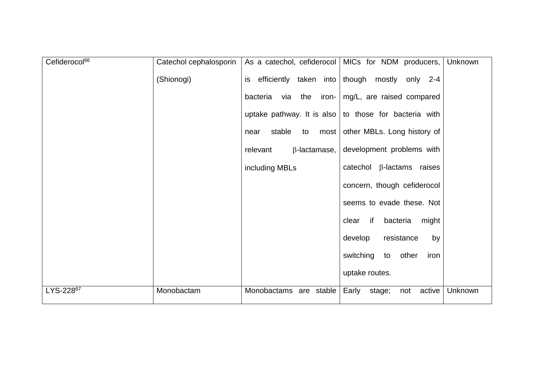| Cefiderocol <sup>66</sup> | Catechol cephalosporin |                                 | As a catechol, cefiderocol   MICs for NDM producers,<br>Unknown |
|---------------------------|------------------------|---------------------------------|-----------------------------------------------------------------|
|                           | (Shionogi)             |                                 | is efficiently taken into though mostly only 2-4                |
|                           |                        | bacteria via the                | iron- $mg/L$ , are raised compared                              |
|                           |                        |                                 | uptake pathway. It is also   to those for bacteria with         |
|                           |                        | stable<br>to<br>near            | most   other MBLs. Long history of                              |
|                           |                        | relevant<br>$\beta$ -lactamase, | development problems with                                       |
|                           |                        | including MBLs                  | catechol $\beta$ -lactams raises                                |
|                           |                        |                                 | concern, though cefiderocol                                     |
|                           |                        |                                 | seems to evade these. Not                                       |
|                           |                        |                                 | bacteria<br>clear if<br>might                                   |
|                           |                        |                                 | develop<br>resistance<br>by                                     |
|                           |                        |                                 | switching<br>to other<br>iron                                   |
|                           |                        |                                 | uptake routes.                                                  |
| LYS-22867                 | Monobactam             | Monobactams are stable          | Early<br>active<br>Unknown<br>stage;<br>not                     |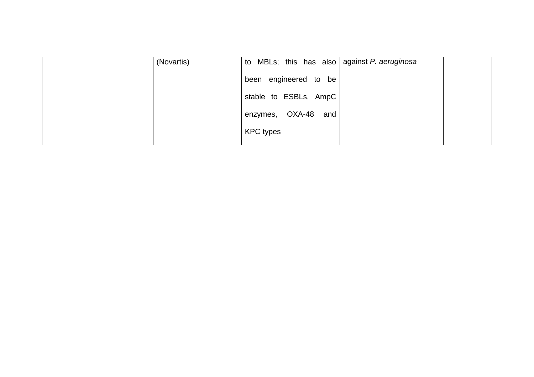| (Novartis) | to MBLs; this has also against P. aeruginosa |  |
|------------|----------------------------------------------|--|
|            | been engineered to be                        |  |
|            | stable to ESBLs, AmpC                        |  |
|            | enzymes, OXA-48 and                          |  |
|            | <b>KPC</b> types                             |  |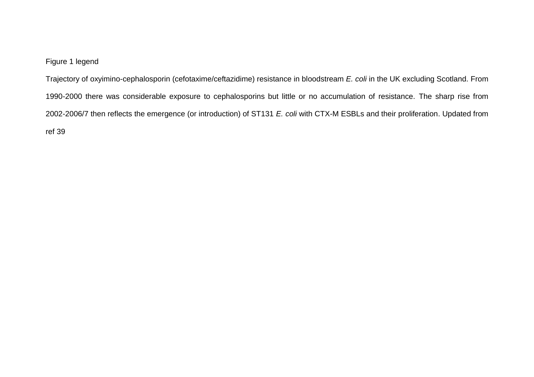## Figure 1 legend

Trajectory of oxyimino-cephalosporin (cefotaxime/ceftazidime) resistance in bloodstream *E. coli* in the UK excluding Scotland. From 1990-2000 there was considerable exposure to cephalosporins but little or no accumulation of resistance. The sharp rise from 2002-2006/7 then reflects the emergence (or introduction) of ST131 *E. coli* with CTX-M ESBLs and their proliferation. Updated from ref 39